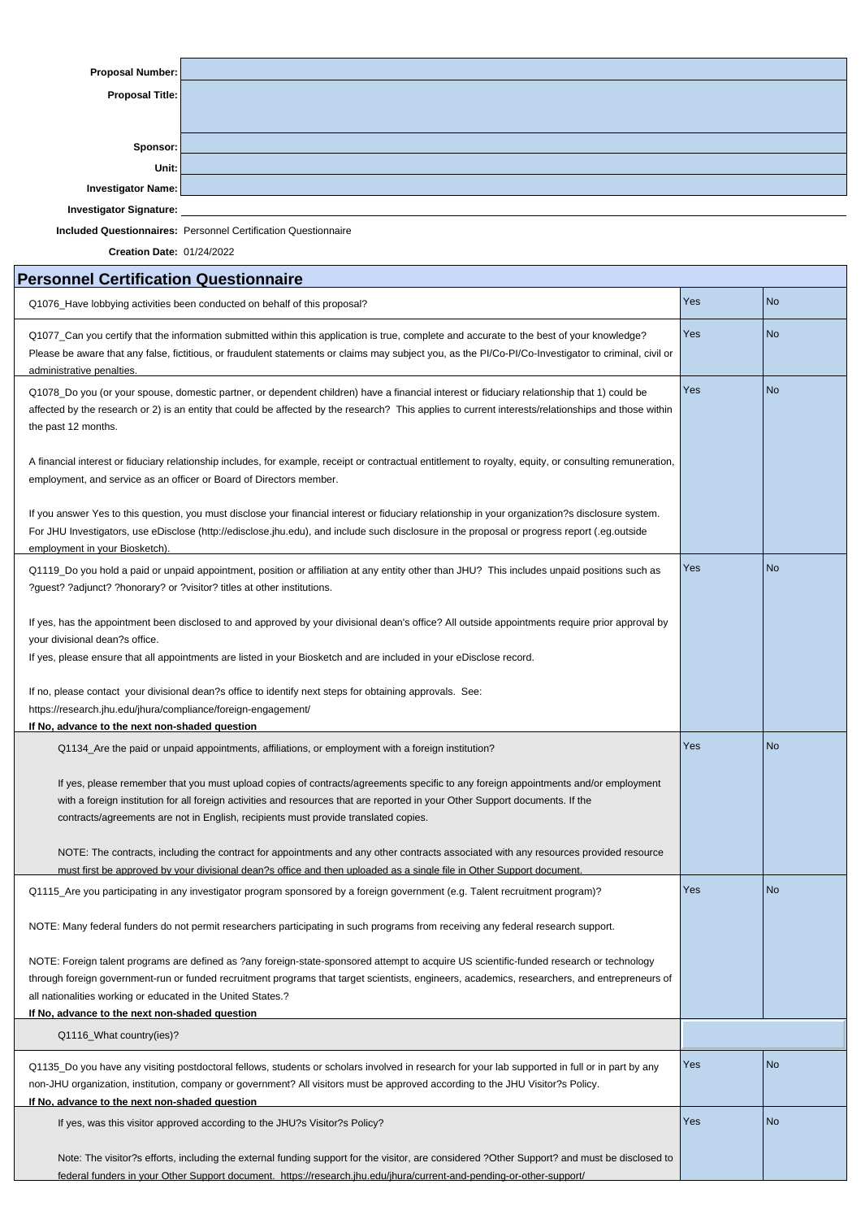| <b>Proposal Number:</b>                                                                                                                                                                                                                                                                                                                                                                                     |                                                                                                          |     |                |  |  |
|-------------------------------------------------------------------------------------------------------------------------------------------------------------------------------------------------------------------------------------------------------------------------------------------------------------------------------------------------------------------------------------------------------------|----------------------------------------------------------------------------------------------------------|-----|----------------|--|--|
| <b>Proposal Title:</b>                                                                                                                                                                                                                                                                                                                                                                                      |                                                                                                          |     |                |  |  |
|                                                                                                                                                                                                                                                                                                                                                                                                             |                                                                                                          |     |                |  |  |
|                                                                                                                                                                                                                                                                                                                                                                                                             |                                                                                                          |     |                |  |  |
| Sponsor:                                                                                                                                                                                                                                                                                                                                                                                                    |                                                                                                          |     |                |  |  |
| Unit:                                                                                                                                                                                                                                                                                                                                                                                                       |                                                                                                          |     |                |  |  |
| <b>Investigator Name:</b>                                                                                                                                                                                                                                                                                                                                                                                   |                                                                                                          |     |                |  |  |
| <b>Investigator Signature:</b>                                                                                                                                                                                                                                                                                                                                                                              |                                                                                                          |     |                |  |  |
|                                                                                                                                                                                                                                                                                                                                                                                                             | <b>Included Questionnaires: Personnel Certification Questionnaire</b>                                    |     |                |  |  |
| <b>Creation Date: 01/24/2022</b>                                                                                                                                                                                                                                                                                                                                                                            |                                                                                                          |     |                |  |  |
| <b>Personnel Certification Questionnaire</b>                                                                                                                                                                                                                                                                                                                                                                |                                                                                                          |     |                |  |  |
| Q1076_Have lobbying activities been conducted on behalf of this proposal?                                                                                                                                                                                                                                                                                                                                   |                                                                                                          |     | <b>No</b>      |  |  |
| Q1077_Can you certify that the information submitted within this application is true, complete and accurate to the best of your knowledge?<br>Please be aware that any false, fictitious, or fraudulent statements or claims may subject you, as the PI/Co-PI/Co-Investigator to criminal, civil or<br>administrative penalties.                                                                            |                                                                                                          |     | <b>No</b>      |  |  |
| Q1078_Do you (or your spouse, domestic partner, or dependent children) have a financial interest or fiduciary relationship that 1) could be<br>affected by the research or 2) is an entity that could be affected by the research? This applies to current interests/relationships and those within<br>the past 12 months.                                                                                  |                                                                                                          |     | <b>No</b>      |  |  |
| A financial interest or fiduciary relationship includes, for example, receipt or contractual entitlement to royalty, equity, or consulting remuneration,<br>employment, and service as an officer or Board of Directors member.                                                                                                                                                                             |                                                                                                          |     |                |  |  |
| If you answer Yes to this question, you must disclose your financial interest or fiduciary relationship in your organization?s disclosure system.<br>For JHU Investigators, use eDisclose (http://edisclose.jhu.edu), and include such disclosure in the proposal or progress report (.eg.outside<br>employment in your Biosketch).                                                                         |                                                                                                          |     |                |  |  |
| Q1119_Do you hold a paid or unpaid appointment, position or affiliation at any entity other than JHU? This includes unpaid positions such as<br>?guest? ?adjunct? ?honorary? or ?visitor? titles at other institutions.                                                                                                                                                                                     |                                                                                                          |     | <b>No</b>      |  |  |
| If yes, has the appointment been disclosed to and approved by your divisional dean's office? All outside appointments require prior approval by<br>your divisional dean?s office.<br>If yes, please ensure that all appointments are listed in your Biosketch and are included in your eDisclose record.                                                                                                    |                                                                                                          |     |                |  |  |
| https://research.jhu.edu/jhura/compliance/foreign-engagement/                                                                                                                                                                                                                                                                                                                                               | If no, please contact your divisional dean?s office to identify next steps for obtaining approvals. See: |     |                |  |  |
| If No, advance to the next non-shaded question                                                                                                                                                                                                                                                                                                                                                              |                                                                                                          |     |                |  |  |
| Q1134_Are the paid or unpaid appointments, affiliations, or employment with a foreign institution?                                                                                                                                                                                                                                                                                                          |                                                                                                          |     | <b>No</b>      |  |  |
| If yes, please remember that you must upload copies of contracts/agreements specific to any foreign appointments and/or employment<br>with a foreign institution for all foreign activities and resources that are reported in your Other Support documents. If the<br>contracts/agreements are not in English, recipients must provide translated copies.                                                  |                                                                                                          |     |                |  |  |
| NOTE: The contracts, including the contract for appointments and any other contracts associated with any resources provided resource                                                                                                                                                                                                                                                                        |                                                                                                          |     |                |  |  |
| must first be approved by your divisional dean?s office and then uploaded as a single file in Other Support document.<br>Q1115_Are you participating in any investigator program sponsored by a foreign government (e.g. Talent recruitment program)?                                                                                                                                                       |                                                                                                          | Yes | <b>No</b>      |  |  |
| NOTE: Many federal funders do not permit researchers participating in such programs from receiving any federal research support.                                                                                                                                                                                                                                                                            |                                                                                                          |     |                |  |  |
| NOTE: Foreign talent programs are defined as ?any foreign-state-sponsored attempt to acquire US scientific-funded research or technology<br>through foreign government-run or funded recruitment programs that target scientists, engineers, academics, researchers, and entrepreneurs of<br>all nationalities working or educated in the United States.?<br>If No, advance to the next non-shaded question |                                                                                                          |     |                |  |  |
| Q1116_What country(ies)?                                                                                                                                                                                                                                                                                                                                                                                    |                                                                                                          |     |                |  |  |
|                                                                                                                                                                                                                                                                                                                                                                                                             |                                                                                                          | Yes |                |  |  |
| Q1135_Do you have any visiting postdoctoral fellows, students or scholars involved in research for your lab supported in full or in part by any<br>non-JHU organization, institution, company or government? All visitors must be approved according to the JHU Visitor?s Policy.<br>If No, advance to the next non-shaded question                                                                         |                                                                                                          |     | N <sub>o</sub> |  |  |
| If yes, was this visitor approved according to the JHU?s Visitor?s Policy?                                                                                                                                                                                                                                                                                                                                  |                                                                                                          |     | <b>No</b>      |  |  |
| Note: The visitor?s efforts, including the external funding support for the visitor, are considered ?Other Support? and must be disclosed to<br>federal funders in your Other Support document. https://research.jhu.edu/jhura/current-and-pending-or-other-support/                                                                                                                                        |                                                                                                          |     |                |  |  |